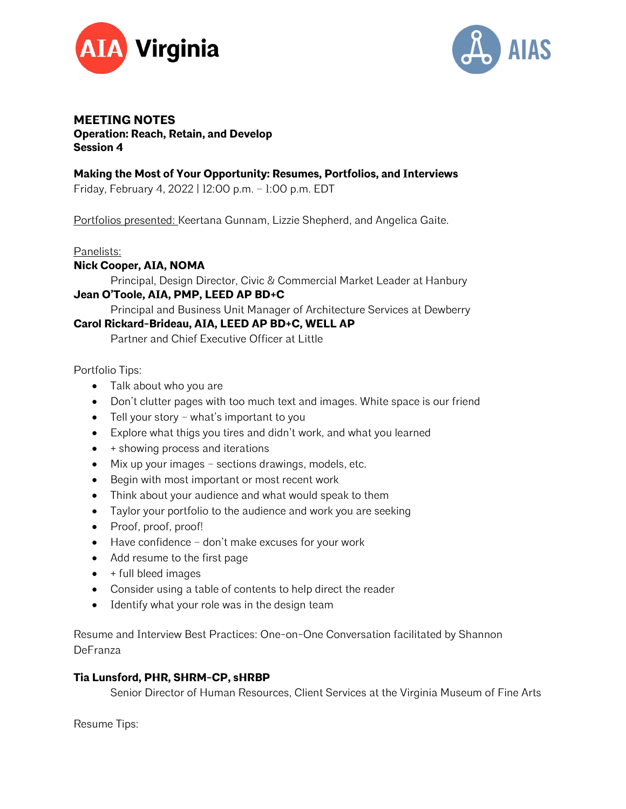



## **MEETING NOTES Operation: Reach, Retain, and Develop Session 4**

## **Making the Most of Your Opportunity: Resumes, Portfolios, and Interviews**

Friday, February 4, 2022 | 12:00 p.m. – 1:00 p.m. EDT

Portfolios presented: Keertana Gunnam, Lizzie Shepherd, and Angelica Gaite.

#### Panelists:

### **Nick Cooper, AIA, NOMA**

Principal, Design Director, Civic & Commercial Market Leader at Hanbury

# **Jean O'Toole, AIA, PMP, LEED AP BD+C**

Principal and Business Unit Manager of Architecture Services at Dewberry

## **Carol Rickard-Brideau, AIA, LEED AP BD+C, WELL AP**

Partner and Chief Executive Officer at Little

Portfolio Tips:

- Talk about who you are
- Don't clutter pages with too much text and images. White space is our friend
- Tell your story what's important to you
- Explore what thigs you tires and didn't work, and what you learned
- + showing process and iterations
- Mix up your images sections drawings, models, etc.
- Begin with most important or most recent work
- Think about your audience and what would speak to them
- Taylor your portfolio to the audience and work you are seeking
- Proof, proof, proof!
- Have confidence don't make excuses for your work
- Add resume to the first page
- $\bullet$  + full bleed images
- Consider using a table of contents to help direct the reader
- Identify what your role was in the design team

Resume and Interview Best Practices: One-on-One Conversation facilitated by Shannon DeFranza

### **Tia Lunsford, PHR, SHRM-CP, sHRBP**

Senior Director of Human Resources, Client Services at the Virginia Museum of Fine Arts

Resume Tips: